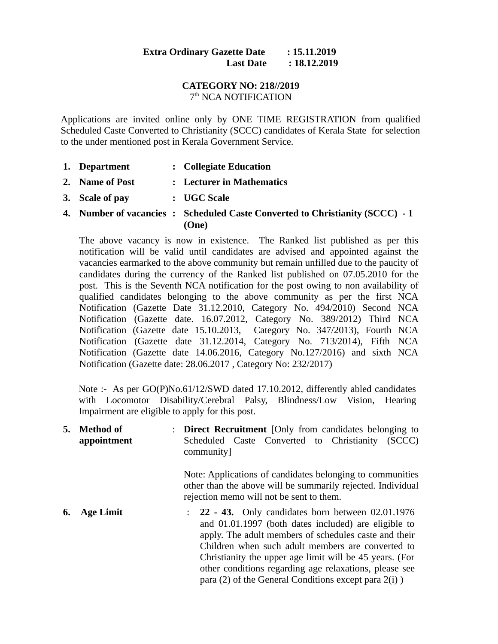## **Extra Ordinary Gazette Date : 15.11.2019 Last Date : 18.12.2019**

## **CATEGORY NO: 218//2019** 7<sup>th</sup> NCA NOTIFICATION

Applications are invited online only by ONE TIME REGISTRATION from qualified Scheduled Caste Converted to Christianity (SCCC) candidates of Kerala State for selection to the under mentioned post in Kerala Government Service.

- **1. Department : Collegiate Education**
- **2. Name of Post : Lecturer in Mathematics**
- **3. Scale of pay : UGC Scale**
- **4. Number of vacancies : Scheduled Caste Converted to Christianity (SCCC) 1 (One)**

The above vacancy is now in existence. The Ranked list published as per this notification will be valid until candidates are advised and appointed against the vacancies earmarked to the above community but remain unfilled due to the paucity of candidates during the currency of the Ranked list published on 07.05.2010 for the post. This is the Seventh NCA notification for the post owing to non availability of qualified candidates belonging to the above community as per the first NCA Notification (Gazette Date 31.12.2010, Category No. 494/2010) Second NCA Notification (Gazette date. 16.07.2012, Category No. 389/2012) Third NCA Notification (Gazette date 15.10.2013, Category No. 347/2013), Fourth NCA Notification (Gazette date 31.12.2014, Category No. 713/2014), Fifth NCA Notification (Gazette date 14.06.2016, Category No.127/2016) and sixth NCA Notification (Gazette date: 28.06.2017 , Category No: 232/2017)

Note :- As per GO(P)No.61/12/SWD dated 17.10.2012, differently abled candidates with Locomotor Disability/Cerebral Palsy, Blindness/Low Vision, Hearing Impairment are eligible to apply for this post.

**5. Method of appointment** : **Direct Recruitment** [Only from candidates belonging to Scheduled Caste Converted to Christianity (SCCC) community] Note: Applications of candidates belonging to communities other than the above will be summarily rejected. Individual rejection memo will not be sent to them. **6. Age Limit** : **22 - 43.** Only candidates born between 02.01.1976 and 01.01.1997 (both dates included) are eligible to apply. The adult members of schedules caste and their Children when such adult members are converted to Christianity the upper age limit will be 45 years. (For other conditions regarding age relaxations, please see para (2) of the General Conditions except para 2(i) )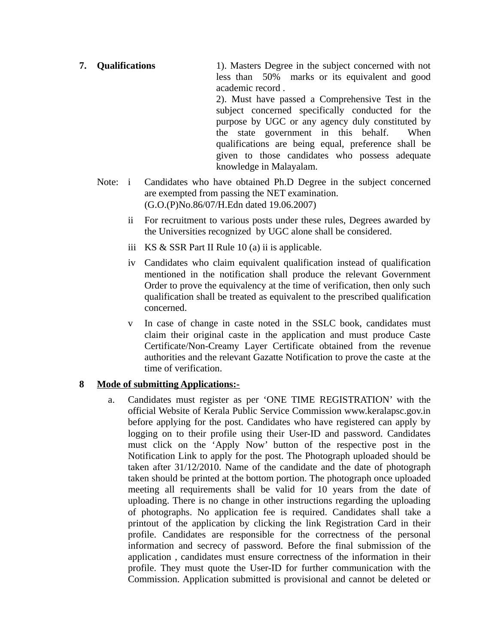**7. Qualifications** 1). Masters Degree in the subject concerned with not less than 50% marks or its equivalent and good academic record . 2). Must have passed a Comprehensive Test in the

subject concerned specifically conducted for the purpose by UGC or any agency duly constituted by the state government in this behalf. When qualifications are being equal, preference shall be given to those candidates who possess adequate knowledge in Malayalam.

- Note: i Candidates who have obtained Ph.D Degree in the subject concerned are exempted from passing the NET examination. (G.O.(P)No.86/07/H.Edn dated 19.06.2007)
	- ii For recruitment to various posts under these rules, Degrees awarded by the Universities recognized by UGC alone shall be considered.
	- iii KS & SSR Part II Rule 10 (a) ii is applicable.
	- iv Candidates who claim equivalent qualification instead of qualification mentioned in the notification shall produce the relevant Government Order to prove the equivalency at the time of verification, then only such qualification shall be treated as equivalent to the prescribed qualification concerned.
	- v In case of change in caste noted in the SSLC book, candidates must claim their original caste in the application and must produce Caste Certificate/Non-Creamy Layer Certificate obtained from the revenue authorities and the relevant Gazatte Notification to prove the caste at the time of verification.

## **8 Mode of submitting Applications:-**

 a. Candidates must register as per 'ONE TIME REGISTRATION' with the official Website of Kerala Public Service Commission www.keralapsc.gov.in before applying for the post. Candidates who have registered can apply by logging on to their profile using their User-ID and password. Candidates must click on the 'Apply Now' button of the respective post in the Notification Link to apply for the post. The Photograph uploaded should be taken after 31/12/2010. Name of the candidate and the date of photograph taken should be printed at the bottom portion. The photograph once uploaded meeting all requirements shall be valid for 10 years from the date of uploading. There is no change in other instructions regarding the uploading of photographs. No application fee is required. Candidates shall take a printout of the application by clicking the link Registration Card in their profile. Candidates are responsible for the correctness of the personal information and secrecy of password. Before the final submission of the application , candidates must ensure correctness of the information in their profile. They must quote the User-ID for further communication with the Commission. Application submitted is provisional and cannot be deleted or